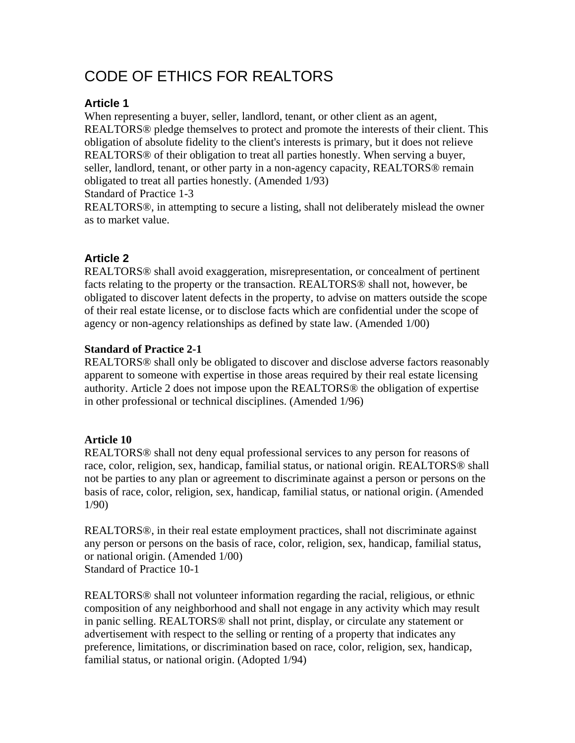# CODE OF ETHICS FOR REALTORS

## **Article 1**

When representing a buyer, seller, landlord, tenant, or other client as an agent, REALTORS® pledge themselves to protect and promote the interests of their client. This obligation of absolute fidelity to the client's interests is primary, but it does not relieve REALTORS® of their obligation to treat all parties honestly. When serving a buyer, seller, landlord, tenant, or other party in a non-agency capacity, REALTORS® remain obligated to treat all parties honestly. (Amended 1/93)

Standard of Practice 1-3

REALTORS®, in attempting to secure a listing, shall not deliberately mislead the owner as to market value.

## **Article 2**

REALTORS® shall avoid exaggeration, misrepresentation, or concealment of pertinent facts relating to the property or the transaction. REALTORS® shall not, however, be obligated to discover latent defects in the property, to advise on matters outside the scope of their real estate license, or to disclose facts which are confidential under the scope of agency or non-agency relationships as defined by state law. (Amended 1/00)

### **Standard of Practice 2-1**

REALTORS® shall only be obligated to discover and disclose adverse factors reasonably apparent to someone with expertise in those areas required by their real estate licensing authority. Article 2 does not impose upon the REALTORS® the obligation of expertise in other professional or technical disciplines. (Amended 1/96)

#### **Article 10**

REALTORS® shall not deny equal professional services to any person for reasons of race, color, religion, sex, handicap, familial status, or national origin. REALTORS® shall not be parties to any plan or agreement to discriminate against a person or persons on the basis of race, color, religion, sex, handicap, familial status, or national origin. (Amended 1/90)

REALTORS®, in their real estate employment practices, shall not discriminate against any person or persons on the basis of race, color, religion, sex, handicap, familial status, or national origin. (Amended 1/00) Standard of Practice 10-1

REALTORS® shall not volunteer information regarding the racial, religious, or ethnic composition of any neighborhood and shall not engage in any activity which may result in panic selling. REALTORS® shall not print, display, or circulate any statement or advertisement with respect to the selling or renting of a property that indicates any preference, limitations, or discrimination based on race, color, religion, sex, handicap, familial status, or national origin. (Adopted 1/94)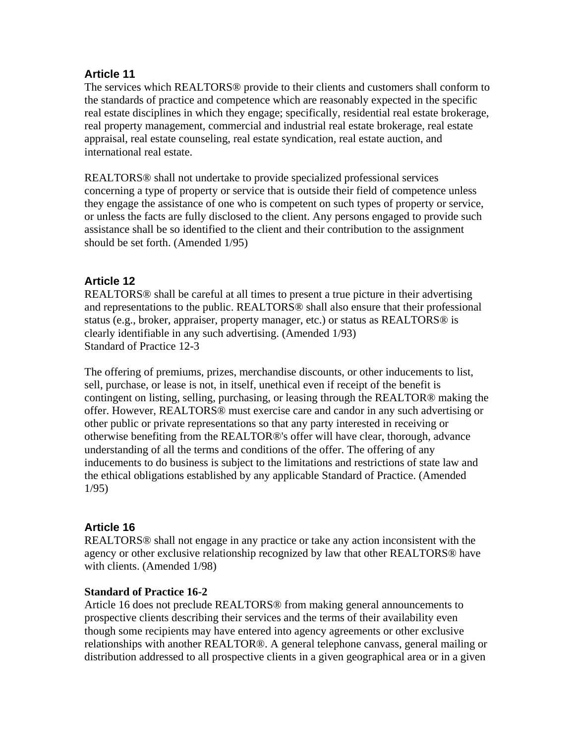#### **Article 11**

The services which REALTORS® provide to their clients and customers shall conform to the standards of practice and competence which are reasonably expected in the specific real estate disciplines in which they engage; specifically, residential real estate brokerage, real property management, commercial and industrial real estate brokerage, real estate appraisal, real estate counseling, real estate syndication, real estate auction, and international real estate.

REALTORS® shall not undertake to provide specialized professional services concerning a type of property or service that is outside their field of competence unless they engage the assistance of one who is competent on such types of property or service, or unless the facts are fully disclosed to the client. Any persons engaged to provide such assistance shall be so identified to the client and their contribution to the assignment should be set forth. (Amended 1/95)

### **Article 12**

REALTORS® shall be careful at all times to present a true picture in their advertising and representations to the public. REALTORS® shall also ensure that their professional status (e.g., broker, appraiser, property manager, etc.) or status as REALTORS® is clearly identifiable in any such advertising. (Amended 1/93) Standard of Practice 12-3

The offering of premiums, prizes, merchandise discounts, or other inducements to list, sell, purchase, or lease is not, in itself, unethical even if receipt of the benefit is contingent on listing, selling, purchasing, or leasing through the REALTOR® making the offer. However, REALTORS® must exercise care and candor in any such advertising or other public or private representations so that any party interested in receiving or otherwise benefiting from the REALTOR®'s offer will have clear, thorough, advance understanding of all the terms and conditions of the offer. The offering of any inducements to do business is subject to the limitations and restrictions of state law and the ethical obligations established by any applicable Standard of Practice. (Amended 1/95)

## **Article 16**

REALTORS® shall not engage in any practice or take any action inconsistent with the agency or other exclusive relationship recognized by law that other REALTORS® have with clients. (Amended 1/98)

#### **Standard of Practice 16-2**

Article 16 does not preclude REALTORS® from making general announcements to prospective clients describing their services and the terms of their availability even though some recipients may have entered into agency agreements or other exclusive relationships with another REALTOR®. A general telephone canvass, general mailing or distribution addressed to all prospective clients in a given geographical area or in a given